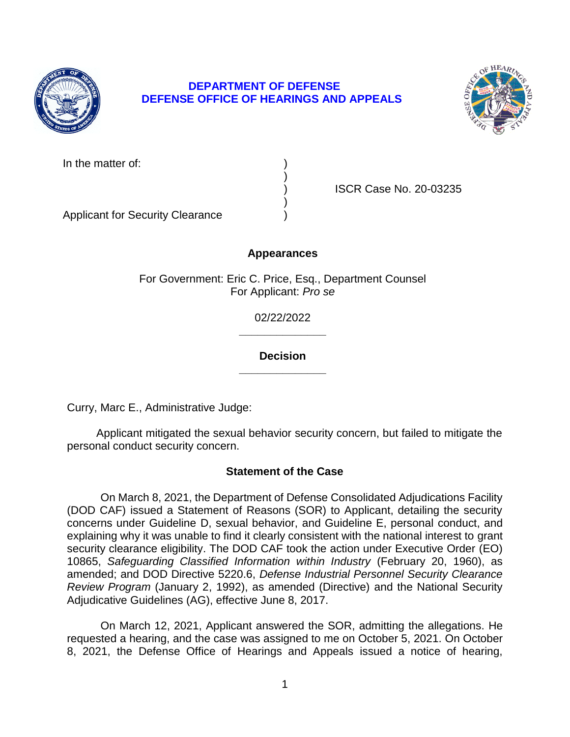

# **DEPARTMENT OF DEFENSE DEFENSE OFFICE OF HEARINGS AND APPEALS**



) )

) ISCR Case No. 20-03235

Applicant for Security Clearance )

# **Appearances**

For Government: Eric C. Price, Esq., Department Counsel For Applicant: *Pro se* 

> **\_\_\_\_\_\_\_\_\_\_\_\_\_\_**  02/22/2022

# **\_\_\_\_\_\_\_\_\_\_\_\_\_\_ Decision**

Curry, Marc E., Administrative Judge:

 Applicant mitigated the sexual behavior security concern, but failed to mitigate the personal conduct security concern.

# **Statement of the Case**

 On March 8, 2021, the Department of Defense Consolidated Adjudications Facility (DOD CAF) issued a Statement of Reasons (SOR) to Applicant, detailing the security concerns under Guideline D, sexual behavior, and Guideline E, personal conduct, and explaining why it was unable to find it clearly consistent with the national interest to grant security clearance eligibility. The DOD CAF took the action under Executive Order (EO)  10865, *Safeguarding Classified Information within Industry* (February 20, 1960), as *Review Program* (January 2, 1992), as amended (Directive) and the National Security amended; and DOD Directive 5220.6, *Defense Industrial Personnel Security Clearance*  Adjudicative Guidelines (AG), effective June 8, 2017.

 On March 12, 2021, Applicant answered the SOR, admitting the allegations. He requested a hearing, and the case was assigned to me on October 5, 2021. On October 8, 2021, the Defense Office of Hearings and Appeals issued a notice of hearing,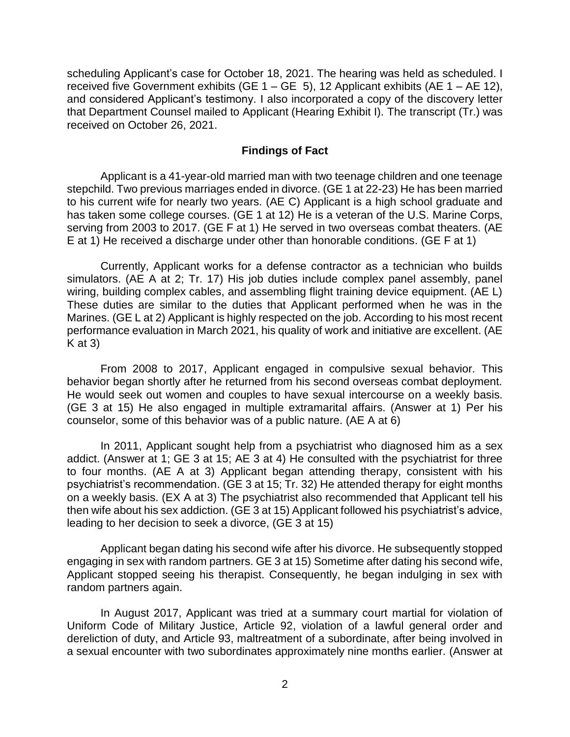scheduling Applicant's case for October 18, 2021. The hearing was held as scheduled. I received five Government exhibits (GE 1 – GE 5), 12 Applicant exhibits (AE 1 – AE 12), and considered Applicant's testimony. I also incorporated a copy of the discovery letter that Department Counsel mailed to Applicant (Hearing Exhibit I). The transcript (Tr.) was received on October 26, 2021.

#### **Findings of Fact**

 Applicant is a 41-year-old married man with two teenage children and one teenage stepchild. Two previous marriages ended in divorce. (GE 1 at 22-23) He has been married to his current wife for nearly two years. (AE C) Applicant is a high school graduate and has taken some college courses. (GE 1 at 12) He is a veteran of the U.S. Marine Corps, serving from 2003 to 2017. (GE F at 1) He served in two overseas combat theaters. (AE E at 1) He received a discharge under other than honorable conditions. (GE F at 1)

 Currently, Applicant works for a defense contractor as a technician who builds simulators. (AE A at 2; Tr. 17) His job duties include complex panel assembly, panel wiring, building complex cables, and assembling flight training device equipment. (AE L) These duties are similar to the duties that Applicant performed when he was in the Marines. (GE L at 2) Applicant is highly respected on the job. According to his most recent performance evaluation in March 2021, his quality of work and initiative are excellent. (AE  $K$  at 3)

 From 2008 to 2017, Applicant engaged in compulsive sexual behavior. This behavior began shortly after he returned from his second overseas combat deployment. He would seek out women and couples to have sexual intercourse on a weekly basis. (GE 3 at 15) He also engaged in multiple extramarital affairs. (Answer at 1) Per his counselor, some of this behavior was of a public nature. (AE A at 6)

 In 2011, Applicant sought help from a psychiatrist who diagnosed him as a sex addict. (Answer at 1; GE 3 at 15; AE 3 at 4) He consulted with the psychiatrist for three to four months. (AE A at 3) Applicant began attending therapy, consistent with his psychiatrist's recommendation. (GE 3 at 15; Tr. 32) He attended therapy for eight months on a weekly basis. (EX A at 3) The psychiatrist also recommended that Applicant tell his then wife about his sex addiction. (GE 3 at 15) Applicant followed his psychiatrist's advice, leading to her decision to seek a divorce, (GE 3 at 15)

 Applicant began dating his second wife after his divorce. He subsequently stopped engaging in sex with random partners. GE 3 at 15) Sometime after dating his second wife, Applicant stopped seeing his therapist. Consequently, he began indulging in sex with random partners again.

 In August 2017, Applicant was tried at a summary court martial for violation of Uniform Code of Military Justice, Article 92, violation of a lawful general order and dereliction of duty, and Article 93, maltreatment of a subordinate, after being involved in a sexual encounter with two subordinates approximately nine months earlier. (Answer at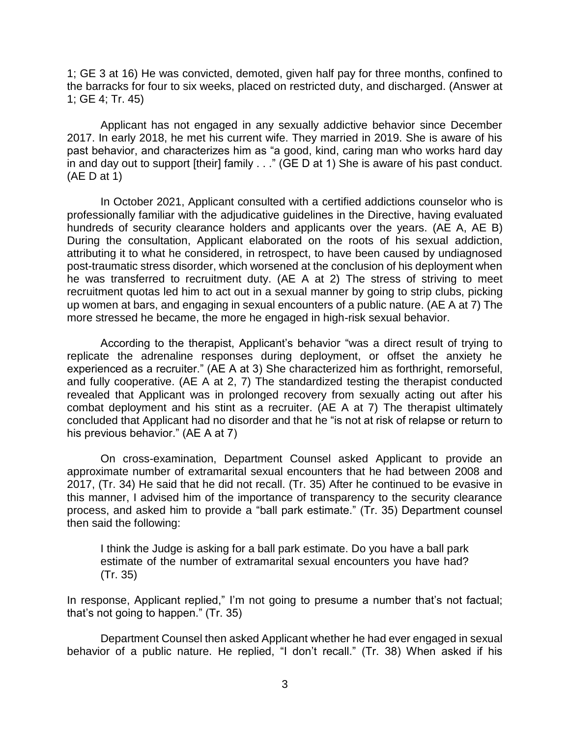1; GE 3 at 16) He was convicted, demoted, given half pay for three months, confined to the barracks for four to six weeks, placed on restricted duty, and discharged. (Answer at 1; GE 4; Tr. 45)

 Applicant has not engaged in any sexually addictive behavior since December 2017. In early 2018, he met his current wife. They married in 2019. She is aware of his past behavior, and characterizes him as "a good, kind, caring man who works hard day in and day out to support [their] family . . ." (GE D at 1) She is aware of his past conduct. (AE D at 1)

 In October 2021, Applicant consulted with a certified addictions counselor who is professionally familiar with the adjudicative guidelines in the Directive, having evaluated hundreds of security clearance holders and applicants over the years. (AE A, AE B) During the consultation, Applicant elaborated on the roots of his sexual addiction, attributing it to what he considered, in retrospect, to have been caused by undiagnosed post-traumatic stress disorder, which worsened at the conclusion of his deployment when he was transferred to recruitment duty. (AE A at 2) The stress of striving to meet recruitment quotas led him to act out in a sexual manner by going to strip clubs, picking up women at bars, and engaging in sexual encounters of a public nature. (AE A at 7) The more stressed he became, the more he engaged in high-risk sexual behavior.

 According to the therapist, Applicant's behavior "was a direct result of trying to replicate the adrenaline responses during deployment, or offset the anxiety he experienced as a recruiter." (AE A at 3) She characterized him as forthright, remorseful, and fully cooperative. (AE A at 2, 7) The standardized testing the therapist conducted revealed that Applicant was in prolonged recovery from sexually acting out after his combat deployment and his stint as a recruiter. (AE A at 7) The therapist ultimately concluded that Applicant had no disorder and that he "is not at risk of relapse or return to his previous behavior." (AE A at 7)

 On cross-examination, Department Counsel asked Applicant to provide an approximate number of extramarital sexual encounters that he had between 2008 and 2017, (Tr. 34) He said that he did not recall. (Tr. 35) After he continued to be evasive in this manner, I advised him of the importance of transparency to the security clearance process, and asked him to provide a "ball park estimate." (Tr. 35) Department counsel then said the following:

I think the Judge is asking for a ball park estimate. Do you have a ball park estimate of the number of extramarital sexual encounters you have had? (Tr. 35)

 In response, Applicant replied," I'm not going to presume a number that's not factual; that's not going to happen." (Tr. 35)

 Department Counsel then asked Applicant whether he had ever engaged in sexual behavior of a public nature. He replied, "I don't recall." (Tr. 38) When asked if his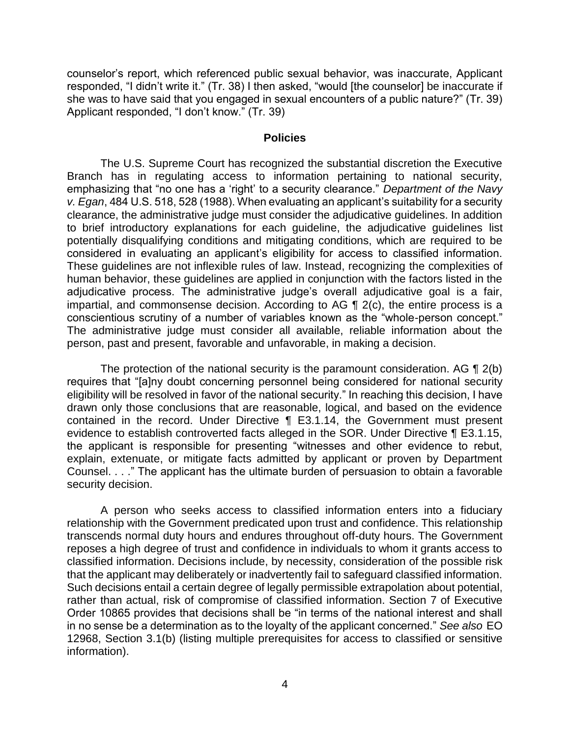she was to have said that you engaged in sexual encounters of a public nature?" (Tr. 39) counselor's report, which referenced public sexual behavior, was inaccurate, Applicant responded, "I didn't write it." (Tr. 38) I then asked, "would [the counselor] be inaccurate if Applicant responded, "I don't know." (Tr. 39)

#### **Policies**

The U.S. Supreme Court has recognized the substantial discretion the Executive Branch has in regulating access to information pertaining to national security, emphasizing that "no one has a 'right' to a security clearance." *Department of the Navy v. Egan*, 484 U.S. 518, 528 (1988). When evaluating an applicant's suitability for a security clearance, the administrative judge must consider the adjudicative guidelines. In addition to brief introductory explanations for each guideline, the adjudicative guidelines list potentially disqualifying conditions and mitigating conditions, which are required to be considered in evaluating an applicant's eligibility for access to classified information. These guidelines are not inflexible rules of law. Instead, recognizing the complexities of human behavior, these guidelines are applied in conjunction with the factors listed in the adjudicative process. The administrative judge's overall adjudicative goal is a fair, impartial, and commonsense decision. According to AG ¶ 2(c), the entire process is a conscientious scrutiny of a number of variables known as the "whole-person concept." The administrative judge must consider all available, reliable information about the person, past and present, favorable and unfavorable, in making a decision.

The protection of the national security is the paramount consideration. AG  $\P$  2(b) eligibility will be resolved in favor of the national security." In reaching this decision, I have drawn only those conclusions that are reasonable, logical, and based on the evidence contained in the record. Under Directive ¶ E3.1.14, the Government must present evidence to establish controverted facts alleged in the SOR. Under Directive ¶ E3.1.15, the applicant is responsible for presenting "witnesses and other evidence to rebut, explain, extenuate, or mitigate facts admitted by applicant or proven by Department Counsel. . . ." The applicant has the ultimate burden of persuasion to obtain a favorable requires that "[a]ny doubt concerning personnel being considered for national security security decision.

 A person who seeks access to classified information enters into a fiduciary relationship with the Government predicated upon trust and confidence. This relationship transcends normal duty hours and endures throughout off-duty hours. The Government reposes a high degree of trust and confidence in individuals to whom it grants access to classified information. Decisions include, by necessity, consideration of the possible risk that the applicant may deliberately or inadvertently fail to safeguard classified information. Such decisions entail a certain degree of legally permissible extrapolation about potential, rather than actual, risk of compromise of classified information. Section 7 of Executive Order 10865 provides that decisions shall be "in terms of the national interest and shall in no sense be a determination as to the loyalty of the applicant concerned." *See also* EO 12968, Section 3.1(b) (listing multiple prerequisites for access to classified or sensitive information).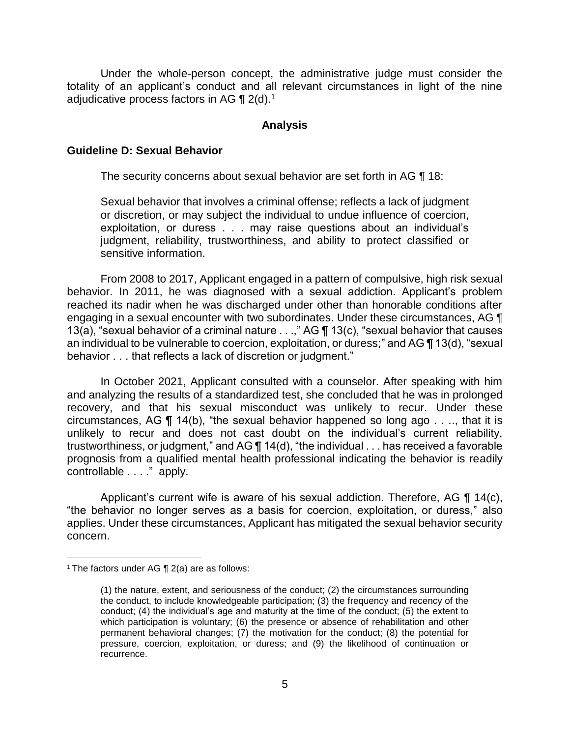Under the whole-person concept, the administrative judge must consider the totality of an applicant's conduct and all relevant circumstances in light of the nine adjudicative process factors in AG  $\P$  2(d).<sup>1</sup>

#### **Analysis**

## **Guideline D: Sexual Behavior**

The security concerns about sexual behavior are set forth in AG ¶ 18:

Sexual behavior that involves a criminal offense; reflects a lack of judgment or discretion, or may subject the individual to undue influence of coercion, exploitation, or duress . . . may raise questions about an individual's judgment, reliability, trustworthiness, and ability to protect classified or sensitive information.

 From 2008 to 2017, Applicant engaged in a pattern of compulsive, high risk sexual behavior. In 2011, he was diagnosed with a sexual addiction. Applicant's problem reached its nadir when he was discharged under other than honorable conditions after engaging in a sexual encounter with two subordinates. Under these circumstances, AG ¶ 13(a), "sexual behavior of a criminal nature  $\dots$ ," AG  $\P$  13(c), "sexual behavior that causes an individual to be vulnerable to coercion, exploitation, or duress;" and AG ¶ 13(d), "sexual behavior . . . that reflects a lack of discretion or judgment."

 In October 2021, Applicant consulted with a counselor. After speaking with him and analyzing the results of a standardized test, she concluded that he was in prolonged recovery, and that his sexual misconduct was unlikely to recur. Under these circumstances, AG  $\P$  14(b), "the sexual behavior happened so long ago . . .., that it is unlikely to recur and does not cast doubt on the individual's current reliability, trustworthiness, or judgment," and AG ¶ 14(d), "the individual . . . has received a favorable prognosis from a qualified mental health professional indicating the behavior is readily controllable . . . ." apply.

Applicant's current wife is aware of his sexual addiction. Therefore, AG  $\P$  14(c), "the behavior no longer serves as a basis for coercion, exploitation, or duress," also applies. Under these circumstances, Applicant has mitigated the sexual behavior security concern.

 $\overline{a}$ 

<sup>&</sup>lt;sup>1</sup> The factors under AG  $\P$  2(a) are as follows:

<sup>(1)</sup> the nature, extent, and seriousness of the conduct; (2) the circumstances surrounding the conduct, to include knowledgeable participation; (3) the frequency and recency of the conduct; (4) the individual's age and maturity at the time of the conduct; (5) the extent to which participation is voluntary; (6) the presence or absence of rehabilitation and other permanent behavioral changes; (7) the motivation for the conduct; (8) the potential for pressure, coercion, exploitation, or duress; and (9) the likelihood of continuation or recurrence.